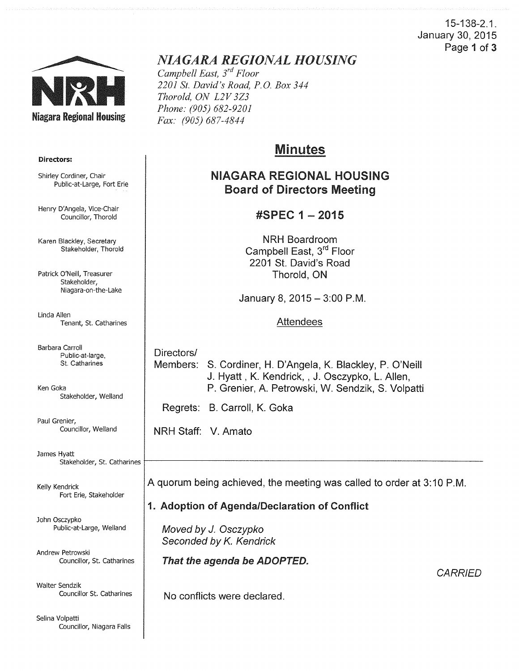15-138-2.1. January 30, 2015 Page 1 of 3



Directors:

Shirley Cordiner, Chair

Henry D'Angela, Vice-Chair Councillor, Thorold

Karen Blackley, Secretary Stakeholder, Thorold

Public-at-Large, Fort Erie

## *NIAGARA REGIONAL HOUSING*

*Campbell East, 3rd Floor 2201 St. David's Road, P.O. Box 344 Thorold, ON L2V 3Z3 Phone: (905) 682-9201 Fax: (905) 687-4844* 

# Minutes

### NIAGARA REGIONAL HOUSING Board of Directors Meeting

### #SPEC 1 - 2015

NRH Boardroom Campbell East, 3<sup>rd</sup> Floor 2201 St. David's Road Thorold, ON

January 8, 2015 - 3:00 P.M.

Attendees

Directors/ Members: S. Cordiner, H. D'Angela, K. Blackley, P. O'Neill J. Hyatt, K. Kendrick, , J. Osczypko, L. Allen, P. Grenier, A. Petrowski, W. Sendzik, S. Volpatti

Regrets: B. Carroll, K. Goka

NRH Staff: V. Amato

A quorum being achieved, the meeting was called to order at 3:10P.M.

### 1. Adoption of Agenda/Declaration of Conflict

Moved by J. Osczypko Seconded by K. Kendrick

That the agenda be ADOPTED.

**CARRIED** 

No conflicts were declared.

Patrick O'Neill, Treasurer Stakeholder, Niagara-on-the-Lake

Linda Allen Tenant, St. Catharines

Barbara Carroll Public-at-large, St. Catharines

Ken Goka Stakeholder, Weiland

Paul Grenier, Councillor, Weiland

James Hyatt<br>Stakeholder, St. Catharines Stakeholder, St. Catharines t-------------------------------

Kelly Kendrick Fort Erie, Stakeholder

John Osczypko Public-at-Large, Weiland

Andrew Petrowski Councillor, St. Catharines

Walter Sendzik Councillor St. Catharines

Selina Volpatti Councillor, Niagara Falls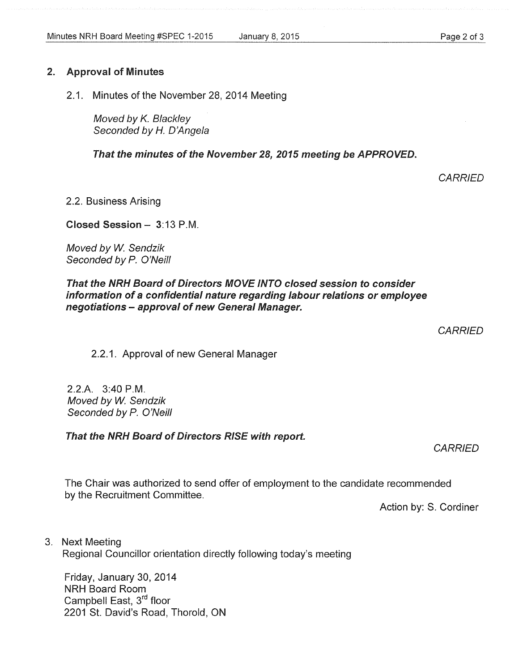#### 2. Approval of Minutes

2.1. Minutes of the November 28, 2014 Meeting

Moved by K. Blackley Seconded by *H.* D'Angela

That the minutes of the November 28, 2015 meeting be APPROVED.

2.2. Business Arising

Closed Session- 3:13P.M.

Moved by W. Sendzik Seconded by P. O'Neill

#### That the NRH Board of Directors MOVE INTO closed session to consider information of a confidential nature regarding labour relations or employee negotiations - approval of new General Manager.

2.2.1. Approval of new General Manager

2.2.A. 3:40 P.M. Moved by W. Sendzik Seconded by P. O'Neill

That the NRH Board of Directors RISE with report.

The Chair was authorized to send offer of employment to the candidate recommended by the Recruitment Committee.

Action by: S. Cordiner

3. Next Meeting

Regional Councillor orientation directly following today's meeting

Friday, January 30, 2014 NRH Board Room Campbell East, 3<sup>rd</sup> floor 2201 St. David's Road, Thorold, ON **CARRIED** 

**CARRIED** 

**CARRIED**